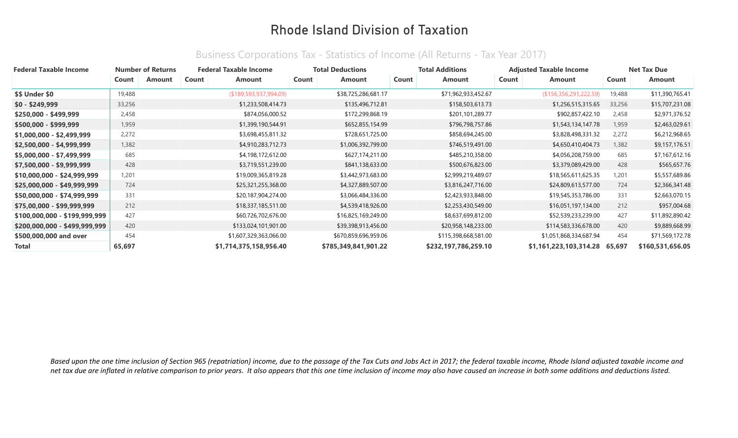| <b>Federal Taxable Income</b> |        | <b>Number of Returns</b> | <b>Federal Taxable Income</b> |                        |       | <b>Total Deductions</b> |       | <b>Total Additions</b> |       | <b>Adjusted Taxable Income</b> |        | <b>Net Tax Due</b> |
|-------------------------------|--------|--------------------------|-------------------------------|------------------------|-------|-------------------------|-------|------------------------|-------|--------------------------------|--------|--------------------|
|                               | Count  | Amount                   | Count                         | Amount                 | Count | Amount                  | Count | Amount                 | Count | Amount                         | Count  | Amount             |
| <b>\$\$ Under \$0</b>         | 19,488 |                          |                               | (\$189,593,937,994.09) |       | \$38,725,286,681.17     |       | \$71,962,933,452.67    |       | (\$156,356,291,222.59)         | 19,488 | \$11,390,765.41    |
| $$0 - $249,999$               | 33,256 |                          |                               | \$1,233,508,414.73     |       | \$135,496,712.81        |       | \$158,503,613.73       |       | \$1,256,515,315.65             | 33,256 | \$15,707,231.08    |
| \$250,000 - \$499,999         | 2,458  |                          |                               | \$874,056,000.52       |       | \$172,299,868.19        |       | \$201,101,289.77       |       | \$902,857,422.10               | 2,458  | \$2,971,376.52     |
| \$500,000 - \$999,999         | 1,959  |                          |                               | \$1,399,190,544.91     |       | \$652,855,154.99        |       | \$796,798,757.86       |       | \$1,543,134,147.78             | 1,959  | \$2,463,029.61     |
| \$1,000,000 - \$2,499,999     | 2,272  |                          |                               | \$3,698,455,811.32     |       | \$728,651,725.00        |       | \$858,694,245.00       |       | \$3,828,498,331.32             | 2,272  | \$6,212,968.65     |
| \$2,500,000 - \$4,999,999     | 1,382  |                          |                               | \$4,910,283,712.73     |       | \$1,006,392,799.00      |       | \$746,519,491.00       |       | \$4,650,410,404.73             | 1,382  | \$9,157,176.51     |
| \$5,000,000 - \$7,499,999     | 685    |                          |                               | \$4,198,172,612.00     |       | \$627,174,211.00        |       | \$485,210,358.00       |       | \$4,056,208,759.00             | 685    | \$7,167,612.16     |
| \$7,500,000 - \$9,999,999     | 428    |                          |                               | \$3,719,551,239.00     |       | \$841,138,633.00        |       | \$500,676,823.00       |       | \$3,379,089,429.00             | 428    | \$565,657.76       |
| \$10,000,000 - \$24,999,999   | 1,201  |                          |                               | \$19,009,365,819.28    |       | \$3,442,973,683.00      |       | \$2,999,219,489.07     |       | \$18,565,611,625.35            | 1,201  | \$5,557,689.86     |
| \$25,000,000 - \$49,999,999   | 724    |                          |                               | \$25,321,255,368.00    |       | \$4,327,889,507.00      |       | \$3,816,247,716.00     |       | \$24,809,613,577.00            | 724    | \$2,366,341.48     |
| \$50,000,000 - \$74,999,999   | 331    |                          |                               | \$20,187,904,274.00    |       | \$3,066,484,336.00      |       | \$2,423,933,848.00     |       | \$19,545,353,786.00            | 331    | \$2,663,070.15     |
| \$75,00,000 - \$99,999,999    | 212    |                          |                               | \$18,337,185,511.00    |       | \$4,539,418,926.00      |       | \$2,253,430,549.00     |       | \$16,051,197,134.00            | 212    | \$957,004.68       |
| \$100,000,000 - \$199,999,999 | 427    |                          |                               | \$60,726,702,676.00    |       | \$16,825,169,249.00     |       | \$8,637,699,812.00     |       | \$52,539,233,239.00            | 427    | \$11,892,890.42    |
| \$200,000,000 - \$499,999,999 | 420    |                          |                               | \$133,024,101,901.00   |       | \$39,398,913,456.00     |       | \$20,958,148,233.00    |       | \$114,583,336,678.00           | 420    | \$9,889,668.99     |
| \$500,000,000 and over        | 454    |                          |                               | \$1,607,329,363,066.00 |       | \$670,859,696,959.06    |       | \$115,398,668,581.00   |       | \$1,051,868,334,687.94         | 454    | \$71,569,172.78    |
| <b>Total</b>                  | 65,697 |                          |                               | \$1,714,375,158,956.40 |       | \$785,349,841,901.22    |       | \$232,197,786,259.10   |       | \$1,161,223,103,314.28         | 65,697 | \$160,531,656.05   |

#### Business Corporations Tax - Statistics of Income (All Returns - Tax Year 2017)

Based upon the one time inclusion of Section 965 (repatriation) income, due to the passage of the Tax Cuts and Jobs Act in 2017; the federal taxable income, Rhode Island adjusted taxable income and *net tax due are inflated in relative comparison to prior years. It also appears that this one time inclusion of income may also have caused an increase in both some additions and deductions listed.*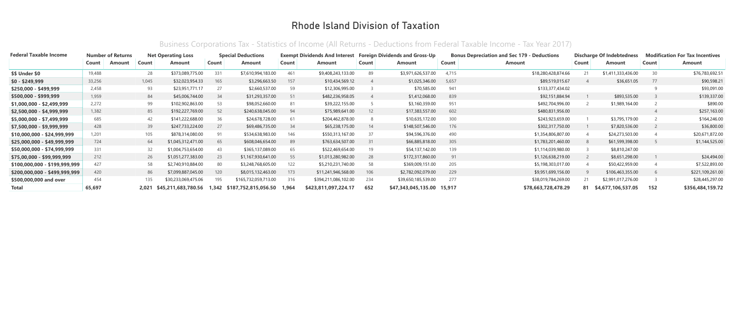| <b>Federal Taxable Income</b> |        | <b>Number of Returns</b> |       | <b>Net Operating Loss</b> |       | <b>Special Deductions</b> |       | <b>Exempt Dividends And Interest</b> |           | <b>Foreign Dividends and Gross-Up</b> |       | <b>Bonus Depreciation and Sec 179 - Deductions</b> |       | <b>Discharge Of Indebtedness</b> |       | <b>Modification For Tax Incentives</b> |
|-------------------------------|--------|--------------------------|-------|---------------------------|-------|---------------------------|-------|--------------------------------------|-----------|---------------------------------------|-------|----------------------------------------------------|-------|----------------------------------|-------|----------------------------------------|
|                               | Count  | Amount                   | Count | Amount                    | Count | Amount                    | Count | <b>Amount</b>                        | Count     | <b>Amount</b>                         | Count | <b>Amount</b>                                      | Count | Amount                           | Count | Amount                                 |
| <b>\$\$ Under \$0</b>         | 19,488 |                          | 28    | \$373,089,775.00          | 331   | \$7,610,994,183.00        | 461   | \$9,408,243,133.00                   | 89        | \$3,971,626,537.00                    | 4.715 | \$18,280,428,874.66                                | 21    | \$1,411,333,436.00               | 30    | \$76,783,692.51                        |
| $$0 - $249,999$               | 33,256 |                          | 1,045 | \$32,023,954.33           | 165   | \$3,296,663.50            | 157   | \$10,434,569.12                      |           | \$1,025,346.00                        | 5,657 | \$89,519,015.67                                    |       | \$36,651.05                      | 77    | \$90,598.21                            |
| \$250,000 - \$499,999         | 2,458  |                          | 93    | \$23,951,771.17           | 27    | \$2,660,537.00            | 59    | \$12,306,995.00                      |           | \$70,585.00                           | 941   | \$133,377,434.02                                   |       |                                  |       | \$93,091.00                            |
| \$500,000 - \$999,999         | 1,959  |                          | 84    | \$45,006,744.00           | 34    | \$31,293,357.00           | 51    | \$482,236,958.05                     |           | \$1,412,068.00                        | 839   | \$92,151,884.94                                    |       | \$893,535.00                     |       | \$139,337.00                           |
| \$1,000,000 - \$2,499,999     | 2,272  |                          | 99    | \$102,902,863.00          | 53    | \$98,052,660.00           | 81    | \$39,222,155.00                      |           | \$3,160,359.00                        | 951   | \$492,704,996.00                                   |       | \$1,989,164.00                   |       | \$890.00                               |
| \$2,500,000 - \$4,999,999     | 1,382  |                          | 85    | \$192,227,769.00          | 52    | \$240,638,045.00          | 94    | \$75,989,641.00                      | <b>12</b> | \$17,383,557.00                       | 602   | \$480,831,956.00                                   |       |                                  |       | \$257,163.00                           |
| \$5,000,000 - \$7,499,999     | 685    |                          | 42    | \$141,222,688.00          | 36    | \$24,678,728.00           | 61    | \$204,462,878.00                     |           | \$10,635,172.00                       | 300   | \$243,923,659.00                                   |       | \$3,795,179.00                   |       | \$164,246.00                           |
| \$7,500,000 - \$9,999,999     | 428    |                          | 39    | \$247,733,224.00          | 27    | \$69,486,735.00           | 34    | \$65,238,175.00                      | -14       | \$148,507,546.00                      | 176   | \$302,317,750.00                                   |       | \$7,820,536.00                   |       | \$36,800.00                            |
| \$10,000,000 - \$24,999,999   | 1,201  |                          | 105   | \$878,314,080.00          | 91    | \$534,638,983.00          | 146   | \$550,313,167.00                     | 37        | \$94,596,376.00                       | 490   | \$1,354,806,807.00                                 |       | \$24,273,503.00                  |       | \$20,671,872.00                        |
| \$25,000,000 - \$49,999,999   | 724    |                          | 64    | \$1,045,312,471.00        | 65    | \$608,046,654.00          | 89    | \$763,634,507.00                     | 31        | \$66,885,818.00                       | 305   | \$1,783,201,460.00                                 |       | \$61,599,398.00                  |       | \$1,144,525.00                         |
| \$50,000,000 - \$74,999,999   | 331    |                          | 32    | \$1,004,753,654.00        | 43    | \$365,137,089.00          | 65    | \$522,469,654.00                     | 19        | \$54,137,142.00                       | 139   | \$1,114,039,980.00                                 |       | \$8,810,247.00                   |       |                                        |
| \$75,00,000 - \$99,999,999    | 212    |                          | 26    | \$1,051,277,383.00        | 23    | \$1,167,930,641.00        | 55    | \$1,013,280,982.00                   | 28        | \$172,317,860.00                      | 91    | \$1,126,638,219.00                                 |       | \$8,651,298.00                   |       | \$24,494.00                            |
| \$100,000,000 - \$199,999,999 | 427    |                          | 58    | \$2,740,910,884.00        | 80    | \$3,248,768,605.00        | 122   | \$5,210,231,740.00                   | 58        | \$369,009,151.00                      | 205   | \$5,198,303,017.00                                 |       | \$50,422,959.00                  |       | \$7,522,893.00                         |
| \$200,000,000 - \$499,999,999 | 420    |                          | 86    | \$7,099,887,045.00        | 120   | \$8,015,132,463.00        | 173   | \$11,241,946,568.00                  | 106       | \$2,782,092,079.00                    | 229   | \$9,951,699,156.00                                 |       | \$106,463,355.00                 |       | \$221,109,261.00                       |
| \$500,000,000 and over        | 454    |                          | 135   | \$30,233,069,475.06       | 195   | \$165,732,059,713.00      | 316   | \$394,211,086,102.00                 | 234       | \$39,650,185,539.00                   | 277   | \$38,019,784,269.00                                | 21    | \$2,991,017,276.00               |       | \$28,445,297.00                        |
| <b>Total</b>                  | 65,697 |                          | 2.021 | \$45,211,683,780.56       | 1,342 | \$187,752,815,056.50      | 1.964 | \$423,811,097,224.17                 | 652       | \$47,343,045,135.00 15,917            |       | \$78,663,728,478.29                                | 81    | \$4,677,106,537.05               | 152   | \$356,484,159.72                       |

#### Business Corporations Tax - Statistics of Income (All Returns - Deductions from Federal Taxable Income - Tax Year 2017)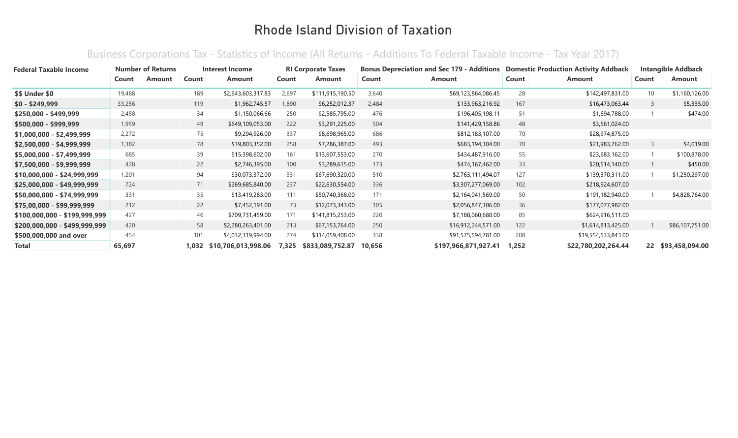#### Business Corporations Tax - Statistics of Income (All Returns - Additions To Federal Taxable Income - Tax Year 2017)

| <b>Federal Taxable Income</b> |        | <b>Number of Returns</b> |       | Interest Income     |       | <b>RI Corporate Taxes</b> |        | <b>Bonus Depreciation and Sec 179 - Additions</b> |       | <b>Domestic Production Activity Addback</b> |                 | <b>Intangible Addback</b> |
|-------------------------------|--------|--------------------------|-------|---------------------|-------|---------------------------|--------|---------------------------------------------------|-------|---------------------------------------------|-----------------|---------------------------|
|                               | Count  | Amount                   | Count | <b>Amount</b>       | Count | Amount                    | Count  | <b>Amount</b>                                     | Count | Amount                                      | Count           | <b>Amount</b>             |
| <b>\$\$ Under \$0</b>         | 19,488 |                          | 189   | \$2,643,603,317.83  | 2,697 | \$111,915,190.50          | 3,640  | \$69,123,864,086.45                               | 28    | \$142,497,831.00                            | 10 <sup>°</sup> | \$1,160,126.00            |
| $$0 - $249,999$               | 33,256 |                          | 119   | \$1,962,745.57      | 1,890 | \$6,252,012.37            | 2,484  | \$133,963,216.92                                  | 167   | \$16,473,063.44                             | 3               | \$5,335.00                |
| $$250,000 - $499,999$         | 2,458  |                          | 34    | \$1,150,066.66      | 250   | \$2,585,795.00            | 476    | \$196,405,198.11                                  | 51    | \$1,694,788.00                              |                 | \$474.00                  |
| $$500,000 - $999,999$         | 1,959  |                          | 49    | \$649,109,053.00    | 222   | \$3,291,225.00            | 504    | \$141,429,158.86                                  | 48    | \$3,561,024.00                              |                 |                           |
| $$1,000,000 - $2,499,999$     | 2.272  |                          | 75    | \$9,294,926.00      | 337   | \$8,698,965.00            | 686    | \$812,183,107.00                                  | 70    | \$28,974,875.00                             |                 |                           |
| \$2,500,000 - \$4,999,999     | 1,382  |                          | 78    | \$39,803,352.00     | 258   | \$7,286,387.00            | 493    | \$683,194,304.00                                  | 70    | \$21,983,762.00                             | 3               | \$4,019.00                |
| $$5,000,000 - $7,499,999$     | 685    |                          | 39    | \$15,398,602.00     | 161   | \$13,607,553.00           | 270    | \$434,487,916.00                                  | 55    | \$23,683,162.00                             |                 | \$100,878.00              |
| \$7,500,000 - \$9,999,999     | 428    |                          | 22    | \$2,746,395.00      | 100   | \$3,289,615.00            | 173    | \$474,167,462.00                                  | 33    | \$20,514,140.00                             |                 | \$450.00                  |
| \$10,000,000 - \$24,999,999   | 1,201  |                          | 94    | \$30,073,372.00     | 331   | \$67,690,320.00           | 510    | \$2,763,111,494.07                                | 127   | \$139,370,311.00                            |                 | \$1,250,297.00            |
| $$25,000,000 - $49,999,999$   | 724    |                          | 71    | \$269,685,840.00    | 237   | \$22,630,554.00           | 336    | \$3,307,277,069.00                                | 102   | \$218,924,607.00                            |                 |                           |
| \$50,000,000 - \$74,999,999   | 331    |                          | 35    | \$13,419,283.00     | 111   | \$50,740,368.00           | 171    | \$2,164,041,569.00                                | 50    | \$191,182,940.00                            |                 | \$4,828,764.00            |
| \$75,00,000 - \$99,999,999    | 212    |                          | 22    | \$7,452,191.00      | 73    | \$12,073,343.00           | 105    | \$2,056,847,306.00                                | 36    | \$177,077,982.00                            |                 |                           |
| \$100,000,000 - \$199,999,999 | 427    |                          | 46    | \$709,731,459.00    | 171   | \$141,815,253.00          | 220    | \$7,188,060,688.00                                | 85    | \$624,916,511.00                            |                 |                           |
| \$200,000,000 - \$499,999,999 | 420    |                          | 58    | \$2,280,263,401.00  | 213   | \$67,153,764.00           | 250    | \$16,912,244,571.00                               | 122   | \$1,614,813,425.00                          |                 | \$86,107,751.00           |
| \$500,000,000 and over        | 454    |                          | 101   | \$4,032,319,994.00  | 274   | \$314,059,408.00          | 338    | \$91,575,594,781.00                               | 208   | \$19,554,533,843.00                         |                 |                           |
| <b>Total</b>                  | 65,697 |                          | 1,032 | \$10,706,013,998.06 | 7,325 | \$833,089,752.87          | 10.656 | \$197,966,871,927.41                              | 1.252 | \$22,780,202,264.44                         |                 | 22 \$93,458,094.00        |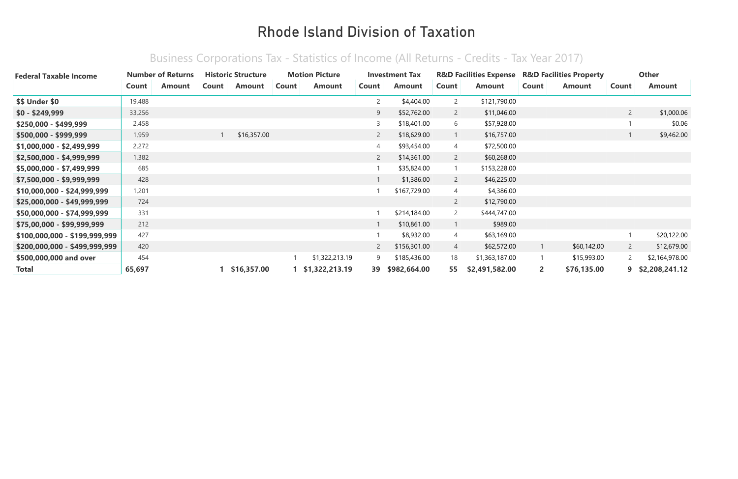| <b>Federal Taxable Income</b> |        | <b>Number of Returns</b> |       | <b>Historic Structure</b> |       | <b>Motion Picture</b> |                | <b>Investment Tax</b> |                | <b>R&amp;D Facilities Expense</b> R&D Facilities Property |                |               |                | <b>Other</b>     |
|-------------------------------|--------|--------------------------|-------|---------------------------|-------|-----------------------|----------------|-----------------------|----------------|-----------------------------------------------------------|----------------|---------------|----------------|------------------|
|                               | Count  | Amount                   | Count | Amount                    | Count | Amount                | Count          | Amount                | Count          | <b>Amount</b>                                             | Count          | <b>Amount</b> | Count          | Amount           |
| \$\$ Under \$0                | 19,488 |                          |       |                           |       |                       | $\overline{c}$ | \$4,404.00            | $\overline{2}$ | \$121,790.00                                              |                |               |                |                  |
| $$0 - $249,999$               | 33,256 |                          |       |                           |       |                       | 9              | \$52,762.00           | $\overline{2}$ | \$11,046.00                                               |                |               | $\overline{2}$ | \$1,000.06       |
| $$250,000 - $499,999$         | 2,458  |                          |       |                           |       |                       | 3              | \$18,401.00           | 6              | \$57,928.00                                               |                |               |                | \$0.06           |
| \$500,000 - \$999,999         | 1,959  |                          |       | \$16,357.00               |       |                       | $\overline{2}$ | \$18,629.00           |                | \$16,757.00                                               |                |               |                | \$9,462.00       |
| \$1,000,000 - \$2,499,999     | 2,272  |                          |       |                           |       |                       | 4              | \$93,454.00           | 4              | \$72,500.00                                               |                |               |                |                  |
| \$2,500,000 - \$4,999,999     | 1,382  |                          |       |                           |       |                       | $\overline{2}$ | \$14,361.00           | $\overline{2}$ | \$60,268.00                                               |                |               |                |                  |
| \$5,000,000 - \$7,499,999     | 685    |                          |       |                           |       |                       |                | \$35,824.00           |                | \$153,228.00                                              |                |               |                |                  |
| \$7,500,000 - \$9,999,999     | 428    |                          |       |                           |       |                       |                | \$1,386.00            | $\overline{2}$ | \$46,225.00                                               |                |               |                |                  |
| $$10,000,000 - $24,999,999$   | 1,201  |                          |       |                           |       |                       |                | \$167,729.00          | 4              | \$4,386.00                                                |                |               |                |                  |
| \$25,000,000 - \$49,999,999   | 724    |                          |       |                           |       |                       |                |                       | $\overline{2}$ | \$12,790.00                                               |                |               |                |                  |
| \$50,000,000 - \$74,999,999   | 331    |                          |       |                           |       |                       |                | \$214,184.00          | $\overline{2}$ | \$444,747.00                                              |                |               |                |                  |
| \$75,00,000 - \$99,999,999    | 212    |                          |       |                           |       |                       |                | \$10,861.00           |                | \$989.00                                                  |                |               |                |                  |
| \$100,000,000 - \$199,999,999 | 427    |                          |       |                           |       |                       |                | \$8,932.00            | 4              | \$63,169.00                                               |                |               |                | \$20,122.00      |
| \$200,000,000 - \$499,999,999 | 420    |                          |       |                           |       |                       | $\mathsf{2}$   | \$156,301.00          | $\overline{4}$ | \$62,572.00                                               | $\mathbf{1}$   | \$60,142.00   | $\overline{2}$ | \$12,679.00      |
| \$500,000,000 and over        | 454    |                          |       |                           |       | \$1,322,213.19        | 9              | \$185,436.00          | 18             | \$1,363,187.00                                            | $\mathbf{1}$   | \$15,993.00   | $\mathbf{2}$   | \$2,164,978.00   |
| Total                         | 65,697 |                          |       | 1 \$16,357.00             |       | 1 \$1,322,213.19      | 39             | \$982,664.00          | 55             | \$2,491,582.00                                            | $\overline{2}$ | \$76,135.00   |                | 9 \$2,208,241.12 |

#### Business Corporations Tax - Statistics of Income (All Returns - Credits - Tax Year 2017)